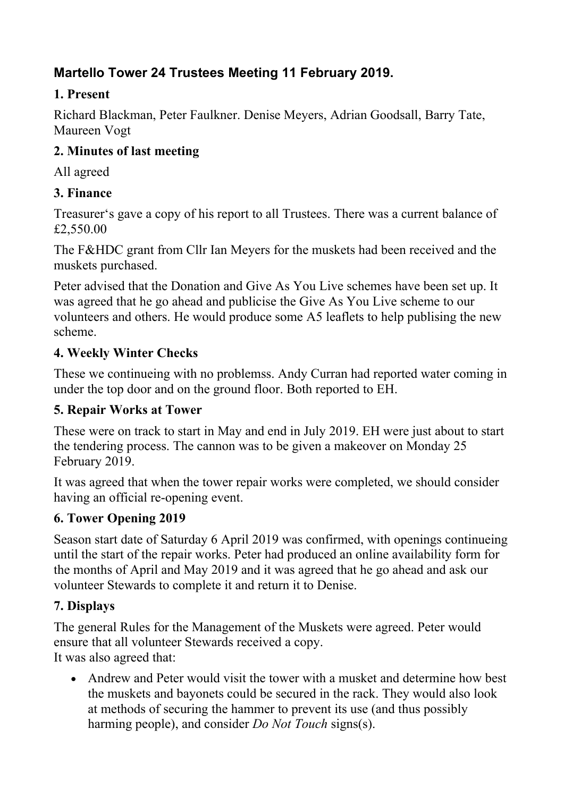# **Martello Tower 24 Trustees Meeting 11 February 2019.**

### **1. Present**

Richard Blackman, Peter Faulkner. Denise Meyers, Adrian Goodsall, Barry Tate, Maureen Vogt

### **2. Minutes of last meeting**

All agreed

## **3. Finance**

Treasurer's gave a copy of his report to all Trustees. There was a current balance of £2,550.00

The F&HDC grant from Cllr Ian Meyers for the muskets had been received and the muskets purchased.

Peter advised that the Donation and Give As You Live schemes have been set up. It was agreed that he go ahead and publicise the Give As You Live scheme to our volunteers and others. He would produce some A5 leaflets to help publising the new scheme.

## **4. Weekly Winter Checks**

These we continueing with no problemss. Andy Curran had reported water coming in under the top door and on the ground floor. Both reported to EH.

### **5. Repair Works at Tower**

These were on track to start in May and end in July 2019. EH were just about to start the tendering process. The cannon was to be given a makeover on Monday 25 February 2019.

It was agreed that when the tower repair works were completed, we should consider having an official re-opening event.

## **6. Tower Opening 2019**

Season start date of Saturday 6 April 2019 was confirmed, with openings continueing until the start of the repair works. Peter had produced an online availability form for the months of April and May 2019 and it was agreed that he go ahead and ask our volunteer Stewards to complete it and return it to Denise.

## **7. Displays**

The general Rules for the Management of the Muskets were agreed. Peter would ensure that all volunteer Stewards received a copy. It was also agreed that:

• Andrew and Peter would visit the tower with a musket and determine how best the muskets and bayonets could be secured in the rack. They would also look at methods of securing the hammer to prevent its use (and thus possibly harming people), and consider *Do Not Touch* signs(s).